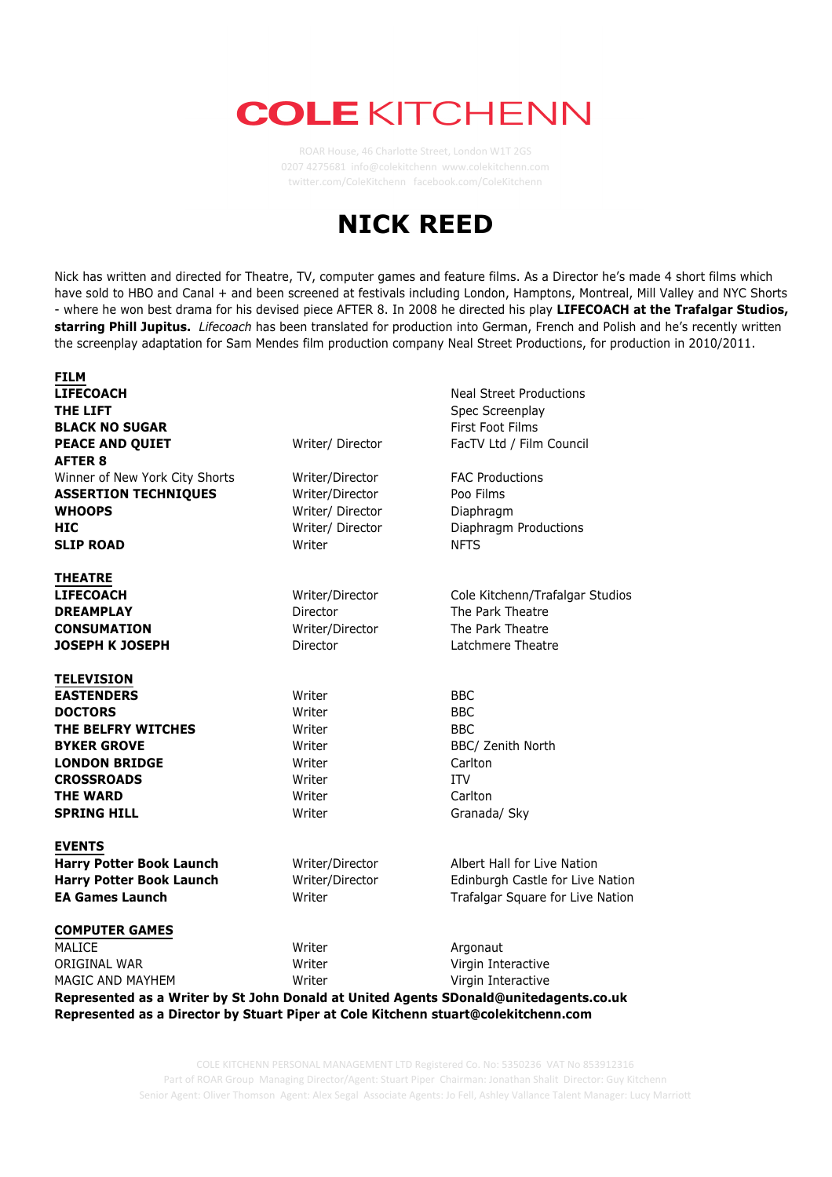## **COLE KITCHENN**

ROAR House, 46 Charlotte Street, London W1T 2GS 0207 4275681 info@colekitchenn www.colekitchenn.com twitter.com/ColeKitchenn facebook.com/ColeKitchenn





**REVIEWS from** *Lifecoach* **at Trafalgar Studios** COLE KITCHENN PERSONAL MANAGEMENT LTD Registered Co. No: 5350236 VAT No 853912316 Senior Agent: Oliver Thomson Agent: Alex Segal Associate Agents: Jo Fell, Ashley Vallance Talent Manager: Lucy Marriott Part of ROAR Group Managing Director/Agent: Stuart Piper Chairman: Jonathan Shalit Director: Guy Kitchenn